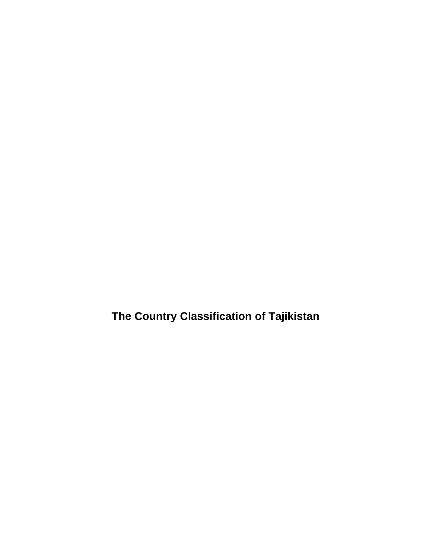**The Country Classification of Tajikistan**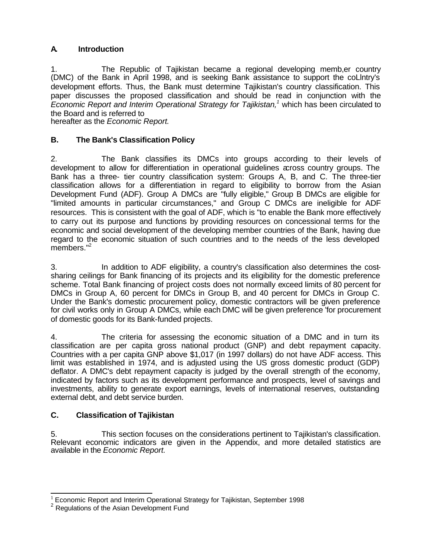### **A. Introduction**

1. The Republic of Tajikistan became a regional developing memb,er country (DMC) of the Bank in April 1998, and is seeking Bank assistance to support the coLlntry's development efforts. Thus, the Bank must determine Tajikistan's country classification. This paper discusses the proposed classification and should be read in conjunction with the *Economic Report and Interim Operational Strategy for Tajikistan,<sup>1</sup>* which has been circulated to the Board and is referred to

hereafter as the *Economic Report.* 

### **B. The Bank's Classification Policy**

2. The Bank classifies its DMCs into groups according to their levels of development to allow for differentiation in operational guidelines across country groups. The Bank has a three- tier country classification system: Groups A, B, and C. The three-tier classification allows for a differentiation in regard to eligibility to borrow from the Asian Development Fund (ADF). Group A DMCs are "fully eligible," Group B DMCs are eligible for "limited amounts in particular circumstances," and Group C DMCs are ineligible for ADF resources. This is consistent with the goal of ADF, which is "to enable the Bank more effectively to carry out its purpose and functions by providing resources on concessional terms for the economic and social development of the developing member countries of the Bank, having due regard to the economic situation of such countries and to the needs of the less developed members."<sup>2</sup>

3. In addition to ADF eligibility, a country's classification also determines the costsharing ceilings for Bank financing of its projects and its eligibility for the domestic preference scheme. Total Bank financing of project costs does not normally exceed limits of 80 percent for DMCs in Group A, 60 percent for DMCs in Group B, and 40 percent for DMCs in Group C. Under the Bank's domestic procurement policy, domestic contractors will be given preference for civil works only in Group A DMCs, while each DMC will be given preference 'for procurement of domestic goods for its Bank-funded projects.

4. The criteria for assessing the economic situation of a DMC and in turn its classification are per capita gross national product (GNP) and debt repayment capacity. Countries with a per capita GNP above \$1,017 (in 1997 dollars) do not have ADF access. This limit was established in 1974, and is adjusted using the US gross domestic product (GDP) deflator. A DMC's debt repayment capacity is judged by the overall strength of the economy, indicated by factors such as its development performance and prospects, level of savings and investments, ability to generate export earnings, levels of international reserves, outstanding external debt, and debt service burden.

### **C. Classification of Tajikistan**

5. This section focuses on the considerations pertinent to Tajikistan's classification. Relevant economic indicators are given in the Appendix, and more detailed statistics are available in the *Economic Report.* 

l  $1$  Economic Report and Interim Operational Strategy for Tajikistan, September 1998

<sup>&</sup>lt;sup>2</sup> Regulations of the Asian Development Fund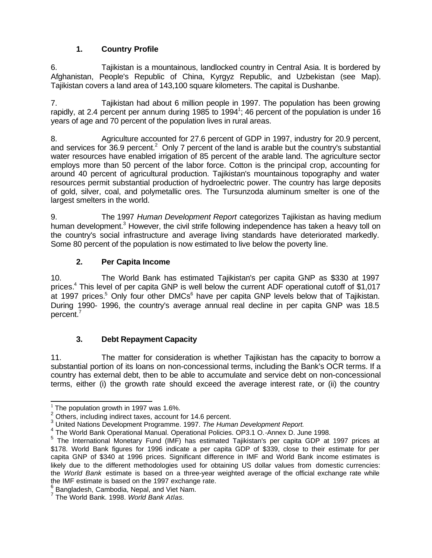## **1. Country Profile**

6. Tajikistan is a mountainous, landlocked country in Central Asia. It is bordered by Afghanistan, People's Republic of China, Kyrgyz Republic, and Uzbekistan (see Map). Tajikistan covers a land area of 143,100 square kilometers. The capital is Dushanbe.

7. Tajikistan had about 6 million people in 1997. The population has been growing rapidly, at 2.4 percent per annum during 1985 to 1994<sup>1</sup>; 46 percent of the population is under 16 years of age and 70 percent of the population lives in rural areas.

8. Agriculture accounted for 27.6 percent of GDP in 1997, industry for 20.9 percent, and services for 36.9 percent.<sup>2</sup> Only 7 percent of the land is arable but the country's substantial water resources have enabled irrigation of 85 percent of the arable land. The agriculture sector employs more than 50 percent of the labor force. Cotton is the principal crop, accounting for around 40 percent of agricultural production. Tajikistan's mountainous topography and water resources permit substantial production of hydroelectric power. The country has large deposits of gold, silver, coal, and polymetallic ores. The Tursunzoda aluminum smelter is one of the largest smelters in the world.

9. The 1997 *Human Development Report* categorizes Tajikistan as having medium human development.<sup>3</sup> However, the civil strife following independence has taken a heavy toll on the country's social infrastructure and average living standards have deteriorated markedly. Some 80 percent of the population is now estimated to live below the poverty line.

### **2. Per Capita Income**

10. The World Bank has estimated Tajikistan's per capita GNP as \$330 at 1997 prices.<sup>4</sup> This level of per capita GNP is well below the current ADF operational cutoff of \$1,017 at 1997 prices.<sup>5</sup> Only four other DMCs<sup>6</sup> have per capita GNP levels below that of Tajikistan. During 1990- 1996, the country's average annual real decline in per capita GNP was 18.5 percent.<sup>7</sup>

### **3. Debt Repayment Capacity**

11. The matter for consideration is whether Tajikistan has the capacity to borrow a substantial portion of its loans on non-concessional terms, including the Bank's OCR terms. If a country has external debt, then to be able to accumulate and service debt on non-concessional terms, either (i) the growth rate should exceed the average interest rate, or (ii) the country

 1 The population growth in 1997 was 1.6%.

 $2$  Others, including indirect taxes, account for 14.6 percent.

<sup>3</sup> United Nations Development Programme. 1997. *The Human Development Report.*

<sup>&</sup>lt;sup>4</sup> The World Bank Operational Manual. Operational Policies. OP3.1 O.-Annex D. June 1998.

<sup>&</sup>lt;sup>5</sup> The International Monetary Fund (IMF) has estimated Tajikistan's per capita GDP at 1997 prices at \$178. World Bank figures for 1996 indicate a per capita GDP of \$339, close to their estimate for per capita GNP of \$340 at 1996 prices. Significant difference in IMF and World Bank income estimates is likely due to the different methodologies used for obtaining US dollar values from domestic currencies: the *World Bank* estimate is based on a three-year weighted average of the official exchange rate while the IMF estimate is based on the 1997 exchange rate.

 $<sup>6</sup>$  Bangladesh, Cambodia, Nepal, and Viet Nam.</sup>

<sup>7</sup> The World Bank. 1998. *World Bank Atlas.*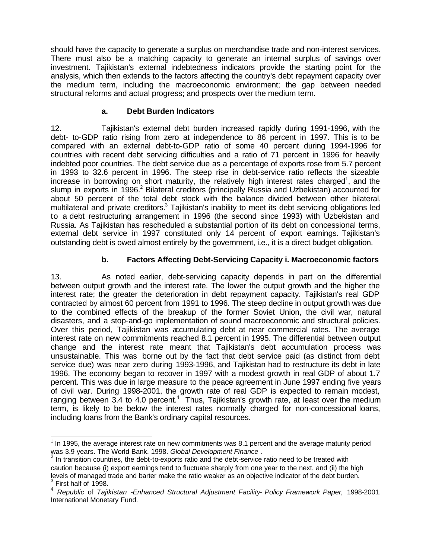should have the capacity to generate a surplus on merchandise trade and non-interest services. There must also be a matching capacity to generate an internal surplus of savings over investment. Tajikistan's external indebtedness indicators provide the starting point for the analysis, which then extends to the factors affecting the country's debt repayment capacity over the medium term, including the macroeconomic environment; the gap between needed structural reforms and actual progress; and prospects over the medium term.

#### **a. Debt Burden Indicators**

12. Tajikistan's external debt burden increased rapidly during 1991-1996, with the debt- to-GDP ratio rising from zero at independence to 86 percent in 1997. This is to be compared with an external debt-to-GDP ratio of some 40 percent during 1994-1996 for countries with recent debt servicing difficulties and a ratio of 71 percent in 1996 for heavily indebted poor countries. The debt service due as a percentage of exports rose from 5.7 percent in 1993 to 32.6 percent in 1996. The steep rise in debt-service ratio reflects the sizeable increase in borrowing on short maturity, the relatively high interest rates charged<sup>1</sup>, and the slump in exports in 1996.<sup>2</sup> Bilateral creditors (principally Russia and Uzbekistan) accounted for about 50 percent of the total debt stock with the balance divided between other bilateral, multilateral and private creditors.<sup>3</sup> Tajikistan's inability to meet its debt servicing obligations led to a debt restructuring arrangement in 1996 (the second since 1993) with Uzbekistan and Russia. As Tajikistan has rescheduled a substantial portion of its debt on concessional terms, external debt service in 1997 constituted only 14 percent of export earnings. Tajikistan's outstanding debt is owed almost entirely by the government, i.e., it is a direct budget obligation.

### **b. Factors Affecting Debt-Servicing Capacity i. Macroeconomic factors**

13. As noted earlier, debt-servicing capacity depends in part on the differential between output growth and the interest rate. The lower the output growth and the higher the interest rate; the greater the deterioration in debt repayment capacity. Tajikistan's real GDP contracted by almost 60 percent from 1991 to 1996. The steep decline in output growth was due to the combined effects of the breakup of the former Soviet Union, the civil war, natural disasters, and a stop-and-go implementation of sound macroeconomic and structural policies. Over this period, Tajikistan was accumulating debt at near commercial rates. The average interest rate on new commitments reached 8.1 percent in 1995. The differential between output change and the interest rate meant that Tajikistan's debt accumulation process was unsustainable. This was borne out by the fact that debt service paid (as distinct from debt service due) was near zero during 1993-1996, and Tajikistan had to restructure its debt in late 1996. The economy began to recover in 1997 with a modest growth in real GDP of about 1.7 percent. This was due in large measure to the peace agreement in June 1997 ending five years of civil war. During 1998-2001, the growth rate of real GDP is expected to remain modest, ranging between 3.4 to 4.0 percent.<sup>4</sup> Thus, Tajikistan's growth rate, at least over the medium term, is likely to be below the interest rates normally charged for non-concessional loans, including loans from the Bank's ordinary capital resources.

l

 $1$  In 1995, the average interest rate on new commitments was 8.1 percent and the average maturity period

was 3.9 years. The World Bank. 1998. *Global Development Finance* . 2 In transition countries, the debt-to-exports ratio and the debt-service ratio need to be treated with caution because (i) export earnings tend to fluctuate sharply from one year to the next, and (ii) the high levels of managed trade and barter make the ratio weaker as an objective indicator of the debt burden. 3 First half of 1998.

<sup>4</sup> *Republic* of *Tajikistan -Enhanced Structural Adjustment Facility- Policy Framework Paper,* 1998-2001. International Monetary Fund.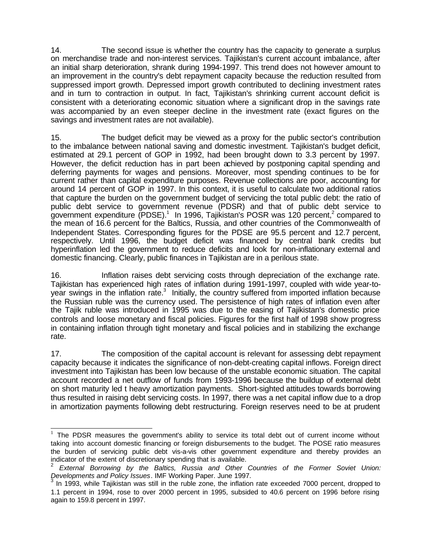14. The second issue is whether the country has the capacity to generate a surplus on merchandise trade and non-interest services. Tajikistan's current account imbalance, after an initial sharp deterioration, shrank during 1994-1997. This trend does not however amount to an improvement in the country's debt repayment capacity because the reduction resulted from suppressed import growth. Depressed import growth contributed to declining investment rates and in turn to contraction in output. In fact, Tajikistan's shrinking current account deficit is consistent with a deteriorating economic situation where a significant drop in the savings rate was accompanied by an even steeper decline in the investment rate (exact figures on the savings and investment rates are not available).

15. The budget deficit may be viewed as a proxy for the public sector's contribution to the imbalance between national saving and domestic investment. Tajikistan's budget deficit, estimated at 29.1 percent of GOP in 1992, had been brought down to 3.3 percent by 1997. However, the deficit reduction has in part been achieved by postponing capital spending and deferring payments for wages and pensions. Moreover, most spending continues to be for current rather than capital expenditure purposes. Revenue collections are poor, accounting for around 14 percent of GOP in 1997. In this context, it is useful to calculate two additional ratios that capture the burden on the government budget of servicing the total public debt: the ratio of public debt service to government revenue (PDSR) and that of public debt service to government expenditure (PDSE).<sup>1</sup> In 1996, Tajikistan's POSR was 120 percent,<sup>2</sup> compared to the mean of 16.6 percent for the Baltics, Russia, and other countries of the Commonwealth of Independent States. Corresponding figures for the PDSE are 95.5 percent and 12.7 percent, respectively. Until 1996, the budget deficit was financed by central bank credits but hyperinflation led the government to reduce deficits and look for non-inflationary external and domestic financing. Clearly, public finances in Tajikistan are in a perilous state.

16. Inflation raises debt servicing costs through depreciation of the exchange rate. Tajikistan has experienced high rates of inflation during 1991-1997, coupled with wide year-toyear swings in the inflation rate.<sup>3</sup> Initially, the country suffered from imported inflation because the Russian ruble was the currency used. The persistence of high rates of inflation even after the Tajik ruble was introduced in 1995 was due to the easing of Tajikistan's domestic price controls and loose monetary and fiscal policies. Figures for the first half of 1998 show progress in containing inflation through tight monetary and fiscal policies and in stabilizing the exchange rate.

17. The composition of the capital account is relevant for assessing debt repayment capacity because it indicates the significance of non-debt-creating capital inflows. Foreign direct investment into Tajikistan has been low because of the unstable economic situation. The capital account recorded a net outflow of funds from 1993-1996 because the buildup of external debt on short maturity led t heavy amortization payments. Short-sighted attitudes towards borrowing thus resulted in raising debt servicing costs. In 1997, there was a net capital inflow due to a drop in amortization payments following debt restructuring. Foreign reserves need to be at prudent

 1 The PDSR measures the government's ability to service its total debt out of current income without taking into account domestic financing or foreign disbursements to the budget. The POSE ratio measures the burden of servicing public debt vis-a-vis other government expenditure and thereby provides an indicator of the extent of discretionary spending that is available.

<sup>2</sup> *External Borrowing by the Baltics, Russia and Other Countries of the Former Soviet Union: Developments and Policy Issues*. IMF Working Paper. June 1997. 3

In 1993, while Tajikistan was still in the ruble zone, the inflation rate exceeded 7000 percent, dropped to 1.1 percent in 1994, rose to over 2000 percent in 1995, subsided to 40.6 percent on 1996 before rising again to 159.8 percent in 1997.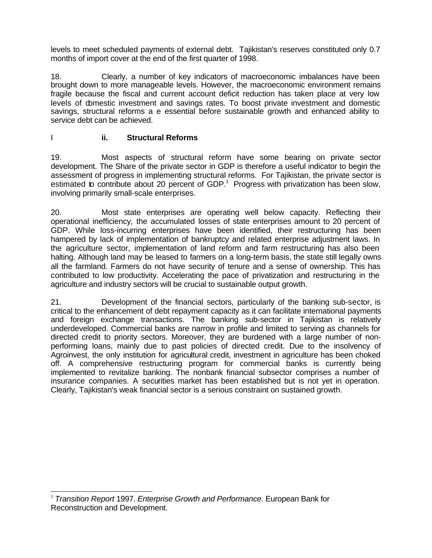levels to meet scheduled payments of external debt. Tajikistan's reserves constituted only 0.7 months of import cover at the end of the first quarter of 1998.

18. Clearly, a number of key indicators of macroeconomic imbalances have been brought down to more manageable levels. However, the macroeconomic environment remains fragile because the fiscal and current account deficit reduction has taken place at very low levels of domestic investment and savings rates. To boost private investment and domestic savings, structural reforms a e essential before sustainable growth and enhanced ability to service debt can be achieved.

#### I **ii. Structural Reforms**

19. Most aspects of structural reform have some bearing on private sector development. The Share of the private sector in GDP is therefore a useful indicator to begin the assessment of progress in implementing structural reforms. For Tajikistan, the private sector is estimated to contribute about 20 percent of  $GDP<sup>1</sup>$  Progress with privatization has been slow, involving primarily small-scale enterprises.

20. Most state enterprises are operating well below capacity. Reflecting their operational inefficiency, the accumulated losses of state enterprises amount to 20 percent of GDP. While loss-incurring enterprises have been identified, their restructuring has been hampered by lack of implementation of bankruptcy and related enterprise adjustment laws. In the agriculture sector, implementation of land reform and farm restructuring has also been halting. Although land may be leased to farmers on a long-term basis, the state still legally owns all the farmland. Farmers do not have security of tenure and a sense of ownership. This has contributed to low productivity. Accelerating the pace of privatization and restructuring in the agriculture and industry sectors will be crucial to sustainable output growth.

21. Development of the financial sectors, particularly of the banking sub-sector, is critical to the enhancement of debt repayment capacity as it can facilitate international payments and foreign exchange transactions. The banking sub-sector in Tajikistan is relatively underdeveloped. Commercial banks are narrow in profile and limited to serving as channels for directed credit to priority sectors. Moreover, they are burdened with a large number of nonperforming loans, mainly due to past policies of directed credit. Due to the insolvency of Agroinvest, the only institution for agricultural credit, investment in agriculture has been choked off. A comprehensive restructuring program for commercial banks is currently being implemented to revitalize banking. The nonbank financial subsector comprises a number of insurance companies. A securities market has been established but is not yet in operation. Clearly, Tajikistan's weak financial sector is a serious constraint on sustained growth.

l <sup>1</sup> *Transition Report* 1997. *Enterprise Growth and Performance.* European Bank for Reconstruction and Development.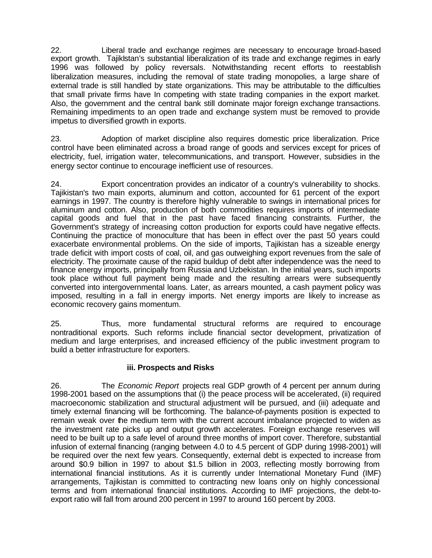22. Liberal trade and exchange regimes are necessary to encourage broad-based export growth. TajikIstan's substantial liberalization of its trade and exchange regimes in early 1996 was followed by policy reversals. Notwithstanding recent efforts to reestablish liberalization measures, including the removal of state trading monopolies, a large share of external trade is still handled by state organizations. This may be attributable to the difficulties that small private firms have In competing with state trading companies in the export market. Also, the government and the central bank still dominate major foreign exchange transactions. Remaining impediments to an open trade and exchange system must be removed to provide impetus to diversified growth in exports.

23. Adoption of market discipline also requires domestic price liberalization. Price control have been eliminated across a broad range of goods and services except for prices of electricity, fuel, irrigation water, telecommunications, and transport. However, subsidies in the energy sector continue to encourage inefficient use of resources.

24. Export concentration provides an indicator of a country's vulnerability to shocks. Tajikistan's two main exports, aluminum and cotton, accounted for 61 percent of the export earnings in 1997. The country is therefore highly vulnerable to swings in international prices for aluminum and cotton. Also, production of both commodities requires imports of intermediate capital goods and fuel that in the past have faced financing constraints. Further, the Government's strategy of increasing cotton production for exports could have negative effects. Continuing the practice of monoculture that has been in effect over the past 50 years could exacerbate environmental problems. On the side of imports, Tajikistan has a sizeable energy trade deficit with import costs of coal, oil, and gas outweighing export revenues from the sale of electricity. The proximate cause of the rapid buildup of debt after independence was the need to finance energy imports, principally from Russia and Uzbekistan. In the initial years, such imports took place without full payment being made and the resulting arrears were subsequently converted into intergovernmental loans. Later, as arrears mounted, a cash payment policy was imposed, resulting in a fall in energy imports. Net energy imports are likely to increase as economic recovery gains momentum.

25. Thus, more fundamental structural reforms are required to encourage nontraditional exports. Such reforms include financial sector development, privatization of medium and large enterprises, and increased efficiency of the public investment program to build a better infrastructure for exporters.

#### **iii. Prospects and Risks**

26. The *Economic Report* projects real GDP growth of 4 percent per annum during 1998-2001 based on the assumptions that (i) the peace process will be accelerated, (ii) required macroeconomic stabilization and structural adjustment will be pursued, and (iii) adequate and timely external financing will be forthcoming. The balance-of-payments position is expected to remain weak over the medium term with the current account imbalance projected to widen as the investment rate picks up and output growth accelerates. Foreign exchange reserves will need to be built up to a safe level of around three months of import cover. Therefore, substantial infusion of external financing (ranging between 4.0 to 4.5 percent of GDP during 1998-2001) will be required over the next few years. Consequently, external debt is expected to increase from around \$0.9 billion in 1997 to about \$1.5 billion in 2003, reflecting mostly borrowing from international financial institutions. As it is currently under International Monetary Fund (IMF) arrangements, Tajikistan is committed to contracting new loans only on highly concessional terms and from international financial institutions. According to IMF projections, the debt-toexport ratio will fall from around 200 percent in 1997 to around 160 percent by 2003.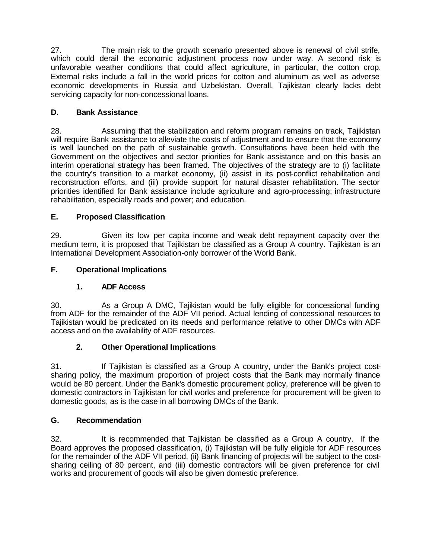27. The main risk to the growth scenario presented above is renewal of civil strife, which could derail the economic adjustment process now under way. A second risk is unfavorable weather conditions that could affect agriculture, in particular, the cotton crop. External risks include a fall in the world prices for cotton and aluminum as well as adverse economic developments in Russia and Uzbekistan. Overall, Tajikistan clearly lacks debt servicing capacity for non-concessional loans.

## **D. Bank Assistance**

28. Assuming that the stabilization and reform program remains on track, Tajikistan will require Bank assistance to alleviate the costs of adjustment and to ensure that the economy is well launched on the path of sustainable growth. Consultations have been held with the Government on the objectives and sector priorities for Bank assistance and on this basis an interim operational strategy has been framed. The objectives of the strategy are to (i) facilitate the country's transition to a market economy, (ii) assist in its post-conflict rehabilitation and reconstruction efforts, and (iii) provide support for natural disaster rehabilitation. The sector priorities identified for Bank assistance include agriculture and agro-processing; infrastructure rehabilitation, especially roads and power; and education.

# **E. Proposed Classification**

29. Given its low per capita income and weak debt repayment capacity over the medium term, it is proposed that Tajikistan be classified as a Group A country. Tajikistan is an International Development Association-only borrower of the World Bank.

# **F. Operational Implications**

### **1. ADF Access**

30. As a Group A DMC, Tajikistan would be fully eligible for concessional funding from ADF for the remainder of the ADF VII period. Actual lending of concessional resources to Tajikistan would be predicated on its needs and performance relative to other DMCs with ADF access and on the availability of ADF resources.

### **2. Other Operational Implications**

31. If Tajikistan is classified as a Group A country, under the Bank's project costsharing policy, the maximum proportion of project costs that the Bank may normally finance would be 80 percent. Under the Bank's domestic procurement policy, preference will be given to domestic contractors in Tajikistan for civil works and preference for procurement will be given to domestic goods, as is the case in all borrowing DMCs of the Bank.

### **G. Recommendation**

32. It is recommended that Tajikistan be classified as a Group A country. If the Board approves the proposed classification, (i) Tajikistan will be fully eligible for ADF resources for the remainder of the ADF VII period, (ii) Bank financing of projects will be subject to the costsharing ceiling of 80 percent, and (iii) domestic contractors will be given preference for civil works and procurement of goods will also be given domestic preference.